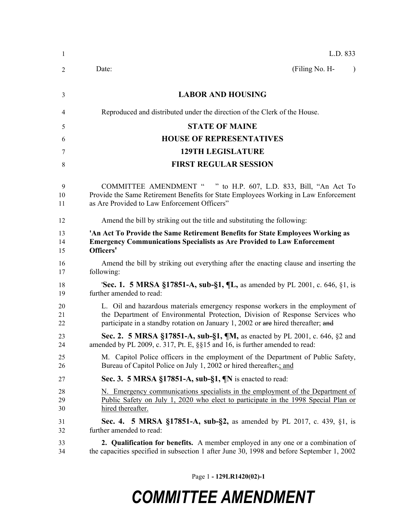| 1  | L.D. 833                                                                                  |  |
|----|-------------------------------------------------------------------------------------------|--|
| 2  | (Filing No. H-<br>Date:<br>$\lambda$                                                      |  |
| 3  | <b>LABOR AND HOUSING</b>                                                                  |  |
| 4  | Reproduced and distributed under the direction of the Clerk of the House.                 |  |
| 5  | <b>STATE OF MAINE</b>                                                                     |  |
| 6  | <b>HOUSE OF REPRESENTATIVES</b>                                                           |  |
| 7  | <b>129TH LEGISLATURE</b>                                                                  |  |
| 8  | <b>FIRST REGULAR SESSION</b>                                                              |  |
| 9  | COMMITTEE AMENDMENT " " to H.P. 607, L.D. 833, Bill, "An Act To                           |  |
| 10 | Provide the Same Retirement Benefits for State Employees Working in Law Enforcement       |  |
| 11 | as Are Provided to Law Enforcement Officers"                                              |  |
| 12 | Amend the bill by striking out the title and substituting the following:                  |  |
| 13 | 'An Act To Provide the Same Retirement Benefits for State Employees Working as            |  |
| 14 | <b>Emergency Communications Specialists as Are Provided to Law Enforcement</b>            |  |
| 15 | Officers'                                                                                 |  |
| 16 | Amend the bill by striking out everything after the enacting clause and inserting the     |  |
| 17 | following:                                                                                |  |
| 18 | <b>'Sec. 1. 5 MRSA §17851-A, sub-§1, ¶L, as amended by PL 2001, c. 646, §1, is</b>        |  |
| 19 | further amended to read:                                                                  |  |
| 20 | L. Oil and hazardous materials emergency response workers in the employment of            |  |
| 21 | the Department of Environmental Protection, Division of Response Services who             |  |
| 22 | participate in a standby rotation on January 1, 2002 or are hired thereafter; and         |  |
| 23 | Sec. 2. 5 MRSA §17851-A, sub-§1, ¶M, as enacted by PL 2001, c. 646, §2 and                |  |
| 24 | amended by PL 2009, c. 317, Pt. E, §§15 and 16, is further amended to read:               |  |
| 25 | M. Capitol Police officers in the employment of the Department of Public Safety,          |  |
| 26 | Bureau of Capitol Police on July 1, 2002 or hired thereafter-; and                        |  |
| 27 | Sec. 3. 5 MRSA §17851-A, sub-§1, $\mathbb{N}$ is enacted to read:                         |  |
| 28 | N. Emergency communications specialists in the employment of the Department of            |  |
| 29 | <u>Public Safety on July 1, 2020 who elect to participate in the 1998 Special Plan or</u> |  |
| 30 | hired thereafter.                                                                         |  |
| 31 | <b>Sec. 4.</b> 5 MRSA §17851-A, sub-§2, as amended by PL 2017, c. 439, §1, is             |  |
| 32 | further amended to read:                                                                  |  |
| 33 | 2. Qualification for benefits. A member employed in any one or a combination of           |  |
| 34 | the capacities specified in subsection 1 after June 30, 1998 and before September 1, 2002 |  |

Page 1 **- 129LR1420(02)-1**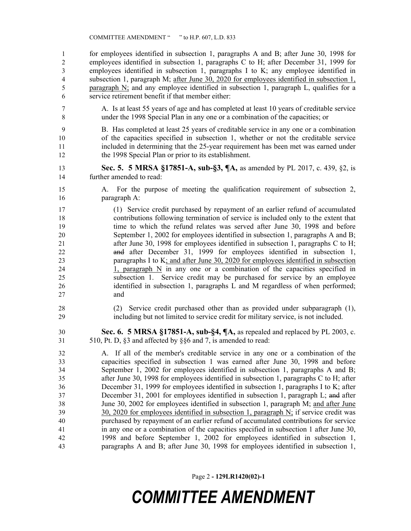for employees identified in subsection 1, paragraphs A and B; after June 30, 1998 for employees identified in subsection 1, paragraphs C to H; after December 31, 1999 for employees identified in subsection 1, paragraphs I to K; any employee identified in subsection 1, paragraph M; after June 30, 2020 for employees identified in subsection 1, paragraph N; and any employee identified in subsection 1, paragraph L, qualifies for a service retirement benefit if that member either:

 A. Is at least 55 years of age and has completed at least 10 years of creditable service under the 1998 Special Plan in any one or a combination of the capacities; or

 B. Has completed at least 25 years of creditable service in any one or a combination of the capacities specified in subsection 1, whether or not the creditable service included in determining that the 25-year requirement has been met was earned under the 1998 Special Plan or prior to its establishment.

- **Sec. 5. 5 MRSA §17851-A, sub-§3, ¶A,** as amended by PL 2017, c. 439, §2, is further amended to read:
- A. For the purpose of meeting the qualification requirement of subsection 2, paragraph A:

 (1) Service credit purchased by repayment of an earlier refund of accumulated contributions following termination of service is included only to the extent that time to which the refund relates was served after June 30, 1998 and before September 1, 2002 for employees identified in subsection 1, paragraphs A and B; after June 30, 1998 for employees identified in subsection 1, paragraphs C to H; and after December 31, 1999 for employees identified in subsection 1, paragraphs I to K; and after June 30, 2020 for employees identified in subsection 24 1, paragraph  $N$  in any one or a combination of the capacities specified in subsection 1. Service credit may be purchased for service by an employee identified in subsection 1, paragraphs L and M regardless of when performed; and

 (2) Service credit purchased other than as provided under subparagraph (1), including but not limited to service credit for military service, is not included.

 **Sec. 6. 5 MRSA §17851-A, sub-§4, ¶A,** as repealed and replaced by PL 2003, c. 510, Pt. D, §3 and affected by §§6 and 7, is amended to read:

 A. If all of the member's creditable service in any one or a combination of the capacities specified in subsection 1 was earned after June 30, 1998 and before September 1, 2002 for employees identified in subsection 1, paragraphs A and B; after June 30, 1998 for employees identified in subsection 1, paragraphs C to H; after December 31, 1999 for employees identified in subsection 1, paragraphs I to K; after December 31, 2001 for employees identified in subsection 1, paragraph L; and after June 30, 2002 for employees identified in subsection 1, paragraph M; and after June 30, 2020 for employees identified in subsection 1, paragraph N; if service credit was purchased by repayment of an earlier refund of accumulated contributions for service in any one or a combination of the capacities specified in subsection 1 after June 30, 1998 and before September 1, 2002 for employees identified in subsection 1, paragraphs A and B; after June 30, 1998 for employees identified in subsection 1,

Page 2 **- 129LR1420(02)-1**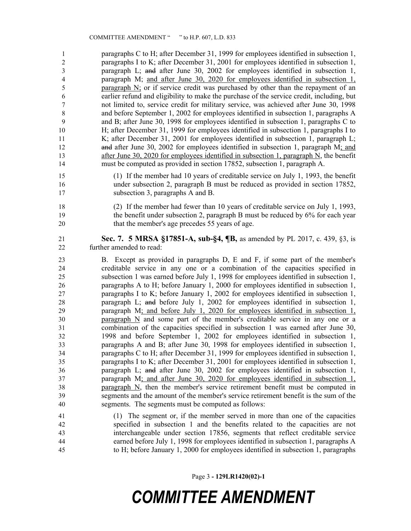paragraphs C to H; after December 31, 1999 for employees identified in subsection 1, paragraphs I to K; after December 31, 2001 for employees identified in subsection 1, paragraph L; and after June 30, 2002 for employees identified in subsection 1, paragraph M; and after June 30, 2020 for employees identified in subsection 1, paragraph N; or if service credit was purchased by other than the repayment of an earlier refund and eligibility to make the purchase of the service credit, including, but not limited to, service credit for military service, was achieved after June 30, 1998 and before September 1, 2002 for employees identified in subsection 1, paragraphs A and B; after June 30, 1998 for employees identified in subsection 1, paragraphs C to H; after December 31, 1999 for employees identified in subsection 1, paragraphs I to K; after December 31, 2001 for employees identified in subsection 1, paragraph L; 12 and after June 30, 2002 for employees identified in subsection 1, paragraph M; and after June 30, 2020 for employees identified in subsection 1, paragraph N, the benefit must be computed as provided in section 17852, subsection 1, paragraph A.

- (1) If the member had 10 years of creditable service on July 1, 1993, the benefit under subsection 2, paragraph B must be reduced as provided in section 17852, subsection 3, paragraphs A and B.
- (2) If the member had fewer than 10 years of creditable service on July 1, 1993, the benefit under subsection 2, paragraph B must be reduced by 6% for each year 20 that the member's age precedes 55 years of age.

 **Sec. 7. 5 MRSA §17851-A, sub-§4, ¶B,** as amended by PL 2017, c. 439, §3, is further amended to read:

- B. Except as provided in paragraphs D, E and F, if some part of the member's creditable service in any one or a combination of the capacities specified in subsection 1 was earned before July 1, 1998 for employees identified in subsection 1, paragraphs A to H; before January 1, 2000 for employees identified in subsection 1, paragraphs I to K; before January 1, 2002 for employees identified in subsection 1, paragraph L; and before July 1, 2002 for employees identified in subsection 1, paragraph M; and before July 1, 2020 for employees identified in subsection 1, paragraph N and some part of the member's creditable service in any one or a combination of the capacities specified in subsection 1 was earned after June 30, 1998 and before September 1, 2002 for employees identified in subsection 1, paragraphs A and B; after June 30, 1998 for employees identified in subsection 1, paragraphs C to H; after December 31, 1999 for employees identified in subsection 1, paragraphs I to K; after December 31, 2001 for employees identified in subsection 1, paragraph L; and after June 30, 2002 for employees identified in subsection 1, paragraph M; and after June 30, 2020 for employees identified in subsection 1, paragraph N, then the member's service retirement benefit must be computed in segments and the amount of the member's service retirement benefit is the sum of the segments. The segments must be computed as follows:
- (1) The segment or, if the member served in more than one of the capacities specified in subsection 1 and the benefits related to the capacities are not interchangeable under section 17856, segments that reflect creditable service earned before July 1, 1998 for employees identified in subsection 1, paragraphs A to H; before January 1, 2000 for employees identified in subsection 1, paragraphs

Page 3 **- 129LR1420(02)-1**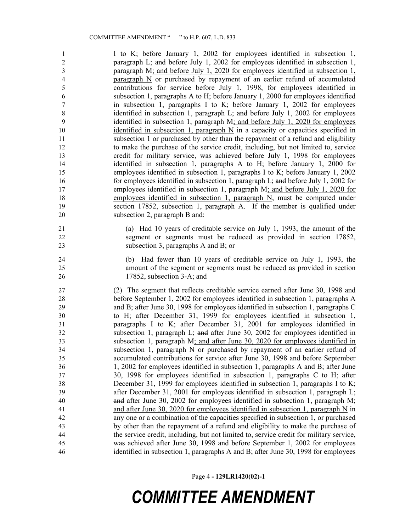I to K; before January 1, 2002 for employees identified in subsection 1, paragraph L; and before July 1, 2002 for employees identified in subsection 1, paragraph M; and before July 1, 2020 for employees identified in subsection 1, paragraph N or purchased by repayment of an earlier refund of accumulated contributions for service before July 1, 1998, for employees identified in subsection 1, paragraphs A to H; before January 1, 2000 for employees identified in subsection 1, paragraphs I to K; before January 1, 2002 for employees identified in subsection 1, paragraph L; and before July 1, 2002 for employees identified in subsection 1, paragraph M; and before July 1, 2020 for employees identified in subsection 1, paragraph N in a capacity or capacities specified in subsection 1 or purchased by other than the repayment of a refund and eligibility to make the purchase of the service credit, including, but not limited to, service credit for military service, was achieved before July 1, 1998 for employees identified in subsection 1, paragraphs A to H; before January 1, 2000 for employees identified in subsection 1, paragraphs I to K; before January 1, 2002 for employees identified in subsection 1, paragraph L; and before July 1, 2002 for employees identified in subsection 1, paragraph M; and before July 1, 2020 for employees identified in subsection 1, paragraph N, must be computed under section 17852, subsection 1, paragraph A. If the member is qualified under subsection 2, paragraph B and:

 (a) Had 10 years of creditable service on July 1, 1993, the amount of the segment or segments must be reduced as provided in section 17852, subsection 3, paragraphs A and B; or

 (b) Had fewer than 10 years of creditable service on July 1, 1993, the amount of the segment or segments must be reduced as provided in section 17852, subsection 3-A; and

 (2) The segment that reflects creditable service earned after June 30, 1998 and before September 1, 2002 for employees identified in subsection 1, paragraphs A and B; after June 30, 1998 for employees identified in subsection 1, paragraphs C to H; after December 31, 1999 for employees identified in subsection 1, paragraphs I to K; after December 31, 2001 for employees identified in subsection 1, paragraph L; and after June 30, 2002 for employees identified in subsection 1, paragraph M; and after June 30, 2020 for employees identified in subsection 1, paragraph N or purchased by repayment of an earlier refund of accumulated contributions for service after June 30, 1998 and before September 1, 2002 for employees identified in subsection 1, paragraphs A and B; after June 30, 1998 for employees identified in subsection 1, paragraphs C to H; after December 31, 1999 for employees identified in subsection 1, paragraphs I to K; after December 31, 2001 for employees identified in subsection 1, paragraph L; and after June 30, 2002 for employees identified in subsection 1, paragraph M; 41 and after June 30, 2020 for employees identified in subsection 1, paragraph N in any one or a combination of the capacities specified in subsection 1, or purchased by other than the repayment of a refund and eligibility to make the purchase of the service credit, including, but not limited to, service credit for military service, was achieved after June 30, 1998 and before September 1, 2002 for employees identified in subsection 1, paragraphs A and B; after June 30, 1998 for employees

Page 4 **- 129LR1420(02)-1**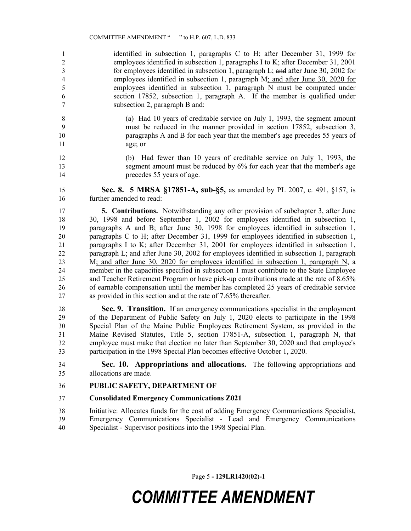identified in subsection 1, paragraphs C to H; after December 31, 1999 for employees identified in subsection 1, paragraphs I to K; after December 31, 2001 for employees identified in subsection 1, paragraph L; and after June 30, 2002 for employees identified in subsection 1, paragraph M; and after June 30, 2020 for employees identified in subsection 1, paragraph N must be computed under section 17852, subsection 1, paragraph A. If the member is qualified under subsection 2, paragraph B and:

- (a) Had 10 years of creditable service on July 1, 1993, the segment amount must be reduced in the manner provided in section 17852, subsection 3, paragraphs A and B for each year that the member's age precedes 55 years of age; or
- (b) Had fewer than 10 years of creditable service on July 1, 1993, the 13 segment amount must be reduced by 6% for each year that the member's age precedes 55 years of age.
- **Sec. 8. 5 MRSA §17851-A, sub-§5,** as amended by PL 2007, c. 491, §157, is further amended to read:

 **5. Contributions.** Notwithstanding any other provision of subchapter 3, after June 30, 1998 and before September 1, 2002 for employees identified in subsection 1, paragraphs A and B; after June 30, 1998 for employees identified in subsection 1, paragraphs C to H; after December 31, 1999 for employees identified in subsection 1, paragraphs I to K; after December 31, 2001 for employees identified in subsection 1, paragraph L; and after June 30, 2002 for employees identified in subsection 1, paragraph 23 M; and after June 30, 2020 for employees identified in subsection 1, paragraph N, a member in the capacities specified in subsection 1 must contribute to the State Employee and Teacher Retirement Program or have pick-up contributions made at the rate of 8.65% of earnable compensation until the member has completed 25 years of creditable service as provided in this section and at the rate of 7.65% thereafter.

 **Sec. 9. Transition.** If an emergency communications specialist in the employment of the Department of Public Safety on July 1, 2020 elects to participate in the 1998 Special Plan of the Maine Public Employees Retirement System, as provided in the Maine Revised Statutes, Title 5, section 17851-A, subsection 1, paragraph N, that employee must make that election no later than September 30, 2020 and that employee's participation in the 1998 Special Plan becomes effective October 1, 2020.

 **Sec. 10. Appropriations and allocations.** The following appropriations and allocations are made.

- **PUBLIC SAFETY, DEPARTMENT OF**
- **Consolidated Emergency Communications Z021**

 Initiative: Allocates funds for the cost of adding Emergency Communications Specialist, Emergency Communications Specialist - Lead and Emergency Communications Specialist - Supervisor positions into the 1998 Special Plan.

Page 5 **- 129LR1420(02)-1**